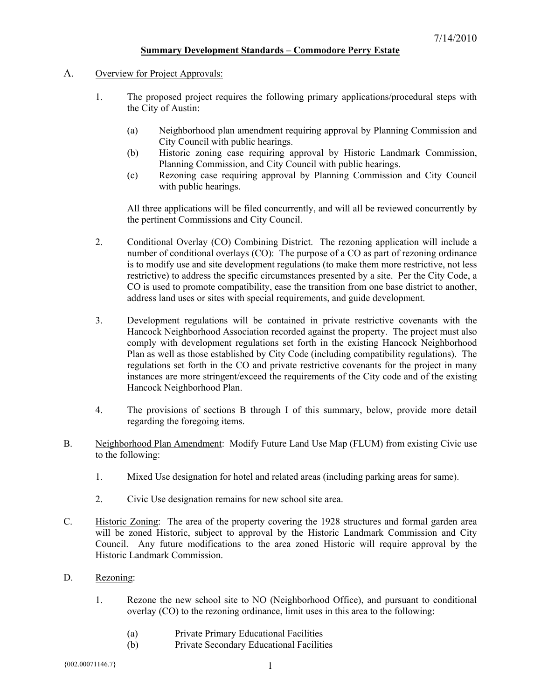## **Summary Development Standards – Commodore Perry Estate**

- A. Overview for Project Approvals:
	- 1. The proposed project requires the following primary applications/procedural steps with the City of Austin:
		- (a) Neighborhood plan amendment requiring approval by Planning Commission and City Council with public hearings.
		- (b) Historic zoning case requiring approval by Historic Landmark Commission, Planning Commission, and City Council with public hearings.
		- (c) Rezoning case requiring approval by Planning Commission and City Council with public hearings.

All three applications will be filed concurrently, and will all be reviewed concurrently by the pertinent Commissions and City Council.

- 2. Conditional Overlay (CO) Combining District. The rezoning application will include a number of conditional overlays (CO): The purpose of a CO as part of rezoning ordinance is to modify use and site development regulations (to make them more restrictive, not less restrictive) to address the specific circumstances presented by a site. Per the City Code, a CO is used to promote compatibility, ease the transition from one base district to another, address land uses or sites with special requirements, and guide development.
- 3. Development regulations will be contained in private restrictive covenants with the Hancock Neighborhood Association recorded against the property. The project must also comply with development regulations set forth in the existing Hancock Neighborhood Plan as well as those established by City Code (including compatibility regulations). The regulations set forth in the CO and private restrictive covenants for the project in many instances are more stringent/exceed the requirements of the City code and of the existing Hancock Neighborhood Plan.
- 4. The provisions of sections B through I of this summary, below, provide more detail regarding the foregoing items.
- B. Neighborhood Plan Amendment: Modify Future Land Use Map (FLUM) from existing Civic use to the following:
	- 1. Mixed Use designation for hotel and related areas (including parking areas for same).
	- 2. Civic Use designation remains for new school site area.
- C. Historic Zoning: The area of the property covering the 1928 structures and formal garden area will be zoned Historic, subject to approval by the Historic Landmark Commission and City Council. Any future modifications to the area zoned Historic will require approval by the Historic Landmark Commission.
- D. Rezoning:
	- 1. Rezone the new school site to NO (Neighborhood Office), and pursuant to conditional overlay (CO) to the rezoning ordinance, limit uses in this area to the following:
		- (a) Private Primary Educational Facilities
		- (b) Private Secondary Educational Facilities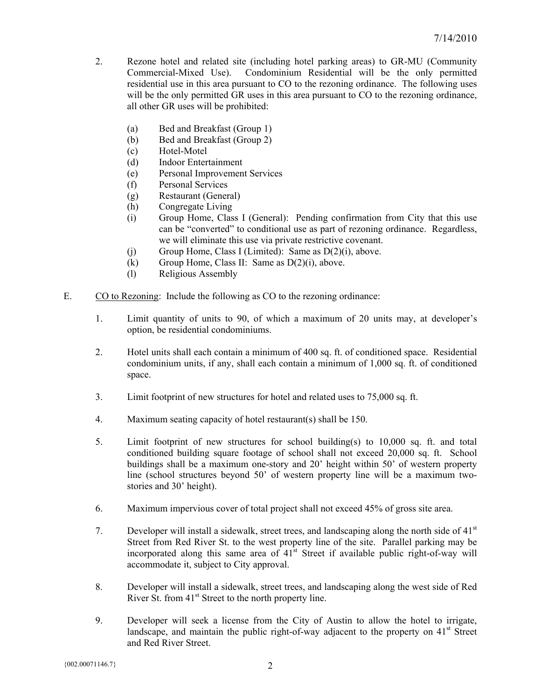- 2. Rezone hotel and related site (including hotel parking areas) to GR-MU (Community Commercial-Mixed Use). Condominium Residential will be the only permitted residential use in this area pursuant to CO to the rezoning ordinance. The following uses will be the only permitted GR uses in this area pursuant to CO to the rezoning ordinance, all other GR uses will be prohibited:
	- (a) Bed and Breakfast (Group 1)
	- (b) Bed and Breakfast (Group 2)
	- (c) Hotel-Motel
	- (d) Indoor Entertainment
	- (e) Personal Improvement Services
	- (f) Personal Services
	- (g) Restaurant (General)
	- (h) Congregate Living
	- (i) Group Home, Class I (General): Pending confirmation from City that this use can be "converted" to conditional use as part of rezoning ordinance. Regardless, we will eliminate this use via private restrictive covenant.
	- (i) Group Home, Class I (Limited): Same as  $D(2)(i)$ , above.
	- (k) Group Home, Class II: Same as  $D(2)(i)$ , above.
	- (l) Religious Assembly
- E. CO to Rezoning: Include the following as CO to the rezoning ordinance:
	- 1. Limit quantity of units to 90, of which a maximum of 20 units may, at developer's option, be residential condominiums.
	- 2. Hotel units shall each contain a minimum of 400 sq. ft. of conditioned space. Residential condominium units, if any, shall each contain a minimum of 1,000 sq. ft. of conditioned space.
	- 3. Limit footprint of new structures for hotel and related uses to 75,000 sq. ft.
	- 4. Maximum seating capacity of hotel restaurant(s) shall be 150.
	- 5. Limit footprint of new structures for school building(s) to 10,000 sq. ft. and total conditioned building square footage of school shall not exceed 20,000 sq. ft. School buildings shall be a maximum one-story and 20' height within 50' of western property line (school structures beyond 50' of western property line will be a maximum twostories and 30' height).
	- 6. Maximum impervious cover of total project shall not exceed 45% of gross site area.
	- 7. Developer will install a sidewalk, street trees, and landscaping along the north side of 41st Street from Red River St. to the west property line of the site. Parallel parking may be incorporated along this same area of  $41<sup>st</sup>$  Street if available public right-of-way will accommodate it, subject to City approval.
	- 8. Developer will install a sidewalk, street trees, and landscaping along the west side of Red River St. from 41<sup>st</sup> Street to the north property line.
	- 9. Developer will seek a license from the City of Austin to allow the hotel to irrigate, landscape, and maintain the public right-of-way adjacent to the property on  $41<sup>st</sup>$  Street and Red River Street.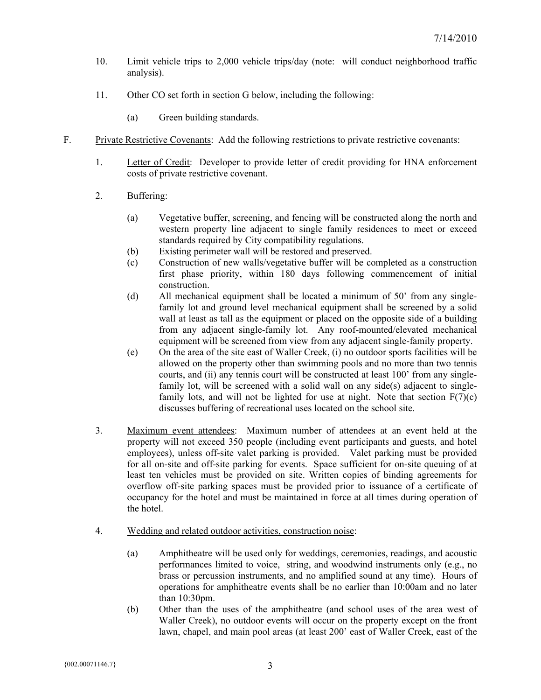- 10. Limit vehicle trips to 2,000 vehicle trips/day (note: will conduct neighborhood traffic analysis).
- 11. Other CO set forth in section G below, including the following:
	- (a) Green building standards.
- F. Private Restrictive Covenants: Add the following restrictions to private restrictive covenants:
	- 1. Letter of Credit: Developer to provide letter of credit providing for HNA enforcement costs of private restrictive covenant.
	- 2. Buffering:
		- (a) Vegetative buffer, screening, and fencing will be constructed along the north and western property line adjacent to single family residences to meet or exceed standards required by City compatibility regulations.
		- (b) Existing perimeter wall will be restored and preserved.
		- (c) Construction of new walls/vegetative buffer will be completed as a construction first phase priority, within 180 days following commencement of initial construction.
		- (d) All mechanical equipment shall be located a minimum of 50' from any singlefamily lot and ground level mechanical equipment shall be screened by a solid wall at least as tall as the equipment or placed on the opposite side of a building from any adjacent single-family lot. Any roof-mounted/elevated mechanical equipment will be screened from view from any adjacent single-family property.
		- (e) On the area of the site east of Waller Creek, (i) no outdoor sports facilities will be allowed on the property other than swimming pools and no more than two tennis courts, and (ii) any tennis court will be constructed at least 100' from any singlefamily lot, will be screened with a solid wall on any side(s) adjacent to singlefamily lots, and will not be lighted for use at night. Note that section  $F(7)(c)$ discusses buffering of recreational uses located on the school site.
	- 3. Maximum event attendees: Maximum number of attendees at an event held at the property will not exceed 350 people (including event participants and guests, and hotel employees), unless off-site valet parking is provided. Valet parking must be provided for all on-site and off-site parking for events. Space sufficient for on-site queuing of at least ten vehicles must be provided on site. Written copies of binding agreements for overflow off-site parking spaces must be provided prior to issuance of a certificate of occupancy for the hotel and must be maintained in force at all times during operation of the hotel.
	- 4. Wedding and related outdoor activities, construction noise:
		- (a) Amphitheatre will be used only for weddings, ceremonies, readings, and acoustic performances limited to voice, string, and woodwind instruments only (e.g., no brass or percussion instruments, and no amplified sound at any time). Hours of operations for amphitheatre events shall be no earlier than 10:00am and no later than 10:30pm.
		- (b) Other than the uses of the amphitheatre (and school uses of the area west of Waller Creek), no outdoor events will occur on the property except on the front lawn, chapel, and main pool areas (at least 200' east of Waller Creek, east of the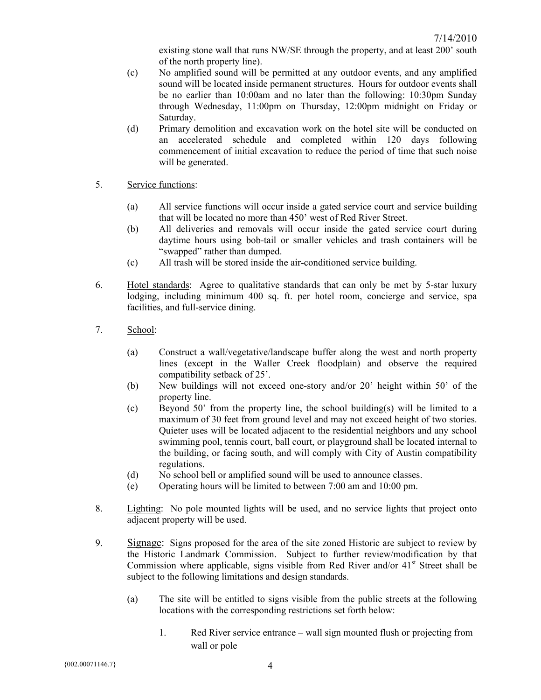existing stone wall that runs NW/SE through the property, and at least 200' south of the north property line).

- (c) No amplified sound will be permitted at any outdoor events, and any amplified sound will be located inside permanent structures. Hours for outdoor events shall be no earlier than 10:00am and no later than the following: 10:30pm Sunday through Wednesday, 11:00pm on Thursday, 12:00pm midnight on Friday or Saturday.
- (d) Primary demolition and excavation work on the hotel site will be conducted on an accelerated schedule and completed within 120 days following commencement of initial excavation to reduce the period of time that such noise will be generated.
- 5. Service functions:
	- (a) All service functions will occur inside a gated service court and service building that will be located no more than 450' west of Red River Street.
	- (b) All deliveries and removals will occur inside the gated service court during daytime hours using bob-tail or smaller vehicles and trash containers will be "swapped" rather than dumped.
	- (c) All trash will be stored inside the air-conditioned service building.
- 6. Hotel standards: Agree to qualitative standards that can only be met by 5-star luxury lodging, including minimum 400 sq. ft. per hotel room, concierge and service, spa facilities, and full-service dining.
- 7. School:
	- (a) Construct a wall/vegetative/landscape buffer along the west and north property lines (except in the Waller Creek floodplain) and observe the required compatibility setback of 25'.
	- (b) New buildings will not exceed one-story and/or 20' height within 50' of the property line.
	- (c) Beyond 50' from the property line, the school building(s) will be limited to a maximum of 30 feet from ground level and may not exceed height of two stories. Quieter uses will be located adjacent to the residential neighbors and any school swimming pool, tennis court, ball court, or playground shall be located internal to the building, or facing south, and will comply with City of Austin compatibility regulations.
	- (d) No school bell or amplified sound will be used to announce classes.
	- (e) Operating hours will be limited to between 7:00 am and 10:00 pm.
- 8. Lighting: No pole mounted lights will be used, and no service lights that project onto adjacent property will be used.
- 9. Signage: Signs proposed for the area of the site zoned Historic are subject to review by the Historic Landmark Commission. Subject to further review/modification by that Commission where applicable, signs visible from Red River and/or  $41<sup>st</sup>$  Street shall be subject to the following limitations and design standards.
	- (a) The site will be entitled to signs visible from the public streets at the following locations with the corresponding restrictions set forth below:
		- 1. Red River service entrance wall sign mounted flush or projecting from wall or pole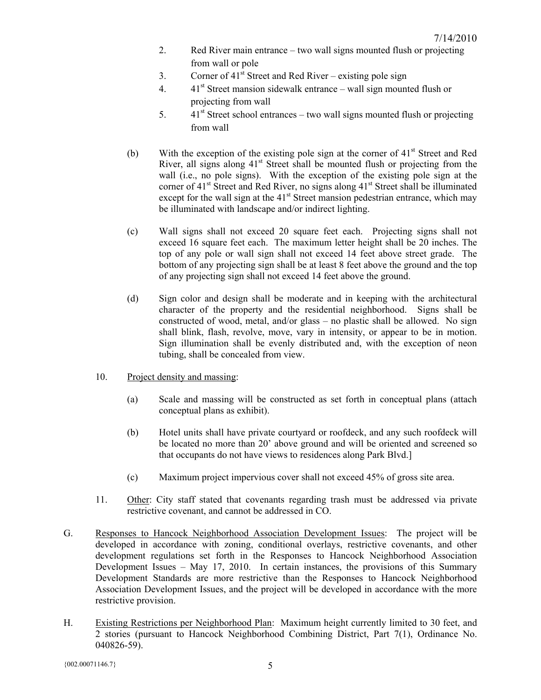- 2. Red River main entrance two wall signs mounted flush or projecting from wall or pole
- 3. Corner of  $41<sup>st</sup>$  Street and Red River existing pole sign
- 4.  $41<sup>st</sup>$  Street mansion sidewalk entrance wall sign mounted flush or projecting from wall
- 5.  $41<sup>st</sup> Street school entrances two wall signs mounted flush or projecting$ from wall
- (b) With the exception of the existing pole sign at the corner of  $41<sup>st</sup>$  Street and Red River, all signs along  $41<sup>st</sup>$  Street shall be mounted flush or projecting from the wall (i.e., no pole signs). With the exception of the existing pole sign at the corner of  $41<sup>st</sup>$  Street and Red River, no signs along  $41<sup>st</sup>$  Street shall be illuminated except for the wall sign at the  $41<sup>st</sup>$  Street mansion pedestrian entrance, which may be illuminated with landscape and/or indirect lighting.
- (c) Wall signs shall not exceed 20 square feet each. Projecting signs shall not exceed 16 square feet each. The maximum letter height shall be 20 inches. The top of any pole or wall sign shall not exceed 14 feet above street grade. The bottom of any projecting sign shall be at least 8 feet above the ground and the top of any projecting sign shall not exceed 14 feet above the ground.
- (d) Sign color and design shall be moderate and in keeping with the architectural character of the property and the residential neighborhood. Signs shall be constructed of wood, metal, and/or glass – no plastic shall be allowed. No sign shall blink, flash, revolve, move, vary in intensity, or appear to be in motion. Sign illumination shall be evenly distributed and, with the exception of neon tubing, shall be concealed from view.
- 10. Project density and massing:
	- (a) Scale and massing will be constructed as set forth in conceptual plans (attach conceptual plans as exhibit).
	- (b) Hotel units shall have private courtyard or roofdeck, and any such roofdeck will be located no more than 20' above ground and will be oriented and screened so that occupants do not have views to residences along Park Blvd.]
	- (c) Maximum project impervious cover shall not exceed 45% of gross site area.
- 11. Other: City staff stated that covenants regarding trash must be addressed via private restrictive covenant, and cannot be addressed in CO.
- G. Responses to Hancock Neighborhood Association Development Issues: The project will be developed in accordance with zoning, conditional overlays, restrictive covenants, and other development regulations set forth in the Responses to Hancock Neighborhood Association Development Issues – May 17, 2010. In certain instances, the provisions of this Summary Development Standards are more restrictive than the Responses to Hancock Neighborhood Association Development Issues, and the project will be developed in accordance with the more restrictive provision.
- H. Existing Restrictions per Neighborhood Plan: Maximum height currently limited to 30 feet, and 2 stories (pursuant to Hancock Neighborhood Combining District, Part 7(1), Ordinance No. 040826-59).